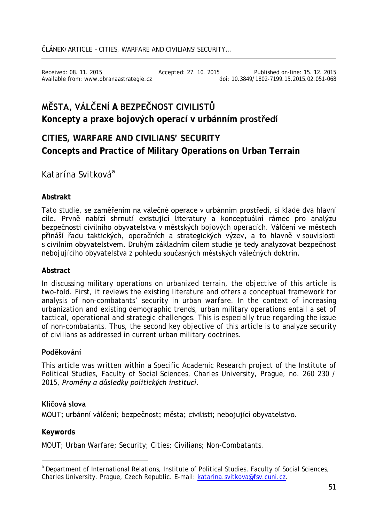Received: 08. 11. 2015 Accepted: 27. 10. 2015 Published on-line: 15. 12. 2015 Available from: www.obranaastrategie.cz

# **MĚSTA, VÁLČENÍ A BEZPEČNOST CIVILISTŮ Koncepty a praxe bojových operací v urbánním prostředí**

## **CITIES, WARFARE AND CIVILIANS' SECURITY Concepts and Practice of Military Operations on Urban Terrain**

### *Katarína Svitková*[a](#page-0-0)

#### **Abstrakt**

Tato studie, se zaměřením na válečné operace v urbánním prostředí, si klade dva hlavní cíle. Prvně nabízí shrnutí existující literatury a konceptuální rámec pro analýzu bezpečnosti civilního obyvatelstva v městských bojových operacích. Válčení ve městech přináší řadu taktických, operačních a strategických výzev, a to hlavně v souvislosti s civilním obyvatelstvem. Druhým základním cílem studie je tedy analyzovat bezpečnost nebojujícího obyvatelstva z pohledu současných městských válečných doktrín.

#### **Abstract**

In discussing military operations on urbanized terrain, the objective of this article is two-fold. First, it reviews the existing literature and offers a conceptual framework for analysis of non-combatants' security in urban warfare. In the context of increasing urbanization and existing demographic trends, urban military operations entail a set of tactical, operational and strategic challenges. This is especially true regarding the issue of non-combatants. Thus, the second key objective of this article is to analyze security of civilians as addressed in current urban military doctrines.

#### **Poděkování**

This article was written within a Specific Academic Research project of the Institute of Political Studies, Faculty of Social Sciences, Charles University, Prague, no. 260 230 / 2015, *Proměny a důsledky politických institucí*.

#### **Klíčová slova**

MOUT; urbánní válčení; bezpečnost; města; civilisti; nebojující obyvatelstvo.

#### **Keywords**

MOUT; Urban Warfare; Security; Cities; Civilians; Non-Combatants.

<span id="page-0-0"></span>a Department of International Relations, Institute of Political Studies, Faculty of Social Sciences, Charles University. Prague, Czech Republic. E-mail: [katarina.svitkova@fsv.cuni.cz.](mailto:katarina.svitkova@fsv.cuni.cz)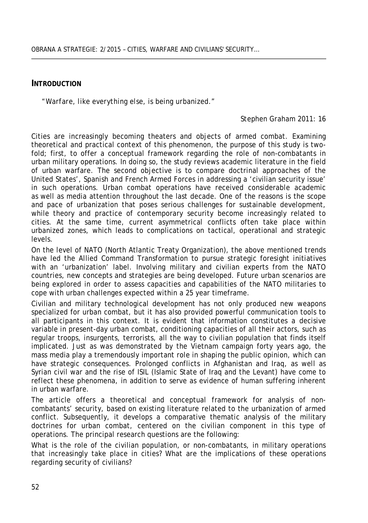#### **INTRODUCTION**

*"Warfare, like everything else, is being urbanized."*

#### *Stephen Graham 2011: 16*

Cities are increasingly becoming theaters and objects of armed combat. Examining theoretical and practical context of this phenomenon, the purpose of this study is twofold; first, to offer a conceptual framework regarding the role of non-combatants in urban military operations. In doing so, the study reviews academic literature in the field of urban warfare. The second objective is to compare doctrinal approaches of the United States', Spanish and French Armed Forces in addressing a 'civilian security issue' in such operations. Urban combat operations have received considerable academic as well as media attention throughout the last decade. One of the reasons is the scope and pace of urbanization that poses serious challenges for sustainable development, while theory and practice of contemporary security become increasingly related to cities. At the same time, current asymmetrical conflicts often take place within urbanized zones, which leads to complications on tactical, operational and strategic levels.

On the level of NATO (North Atlantic Treaty Organization), the above mentioned trends have led the Allied Command Transformation to pursue strategic foresight initiatives with an 'urbanization' label. Involving military and civilian experts from the NATO countries, new concepts and strategies are being developed. Future urban scenarios are being explored in order to assess capacities and capabilities of the NATO militaries to cope with urban challenges expected within a 25 year timeframe.

Civilian and military technological development has not only produced new weapons specialized for urban combat, but it has also provided powerful communication tools to all participants in this context. It is evident that information constitutes a decisive variable in present-day urban combat, conditioning capacities of all their actors, such as regular troops, insurgents, terrorists, all the way to civilian population that finds itself implicated. Just as was demonstrated by the Vietnam campaign forty years ago, the mass media play a tremendously important role in shaping the public opinion, which can have strategic consequences. Prolonged conflicts in Afghanistan and Iraq, as well as Syrian civil war and the rise of ISIL (Islamic State of Iraq and the Levant) have come to reflect these phenomena, in addition to serve as evidence of human suffering inherent in urban warfare.

The article offers a theoretical and conceptual framework for analysis of noncombatants' security, based on existing literature related to the urbanization of armed conflict. Subsequently, it develops a comparative thematic analysis of the military doctrines for urban combat, centered on the civilian component in this type of operations. The principal research questions are the following:

What is the role of the civilian population, or non-combatants, in military operations that increasingly take place in cities? What are the implications of these operations regarding security of civilians?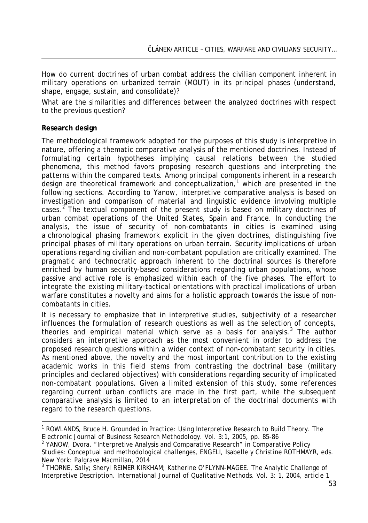How do current doctrines of urban combat address the civilian component inherent in military operations on urbanized terrain (MOUT) in its principal phases (understand, shape, engage, sustain, and consolidate)?

What are the similarities and differences between the analyzed doctrines with respect to the previous question?

#### **Research design**

The methodological framework adopted for the purposes of this study is interpretive in nature, offering a *thematic comparative analysis* of the mentioned doctrines. Instead of formulating certain hypotheses implying causal relations between the studied phenomena, this method favors proposing research questions and interpreting the patterns within the compared texts. Among principal components inherent in a research design are theoretical framework and conceptualization, [1](#page-2-0) which are presented in the following sections. According to Yanow, interpretive comparative analysis is based on investigation and comparison of material and linguistic evidence involving multiple cases.<sup>[2](#page-2-1)</sup> The textual component of the present study is based on military doctrines of urban combat operations of the United States, Spain and France. In conducting the analysis, the issue of security of non-combatants in cities is examined using a chronological phasing framework explicit in the given doctrines, distinguishing five principal phases of military operations on urban terrain. Security implications of urban operations regarding civilian and non-combatant population are critically examined. The pragmatic and technocratic approach inherent to the doctrinal sources is therefore enriched by human security-based considerations regarding urban populations, whose passive and active role is emphasized within each of the five phases. The effort to integrate the existing military-tactical orientations with practical implications of urban warfare constitutes a novelty and aims for a holistic approach towards the issue of noncombatants in cities.

It is necessary to emphasize that in interpretive studies, subjectivity of a researcher influences the formulation of research questions as well as the selection of concepts, theories and empirical material which serve as a basis for analysis. [3](#page-2-2) The author considers an interpretive approach as the most convenient in order to address the proposed research questions within a wider context of non-combatant security in cities. As mentioned above, the novelty and the most important contribution to the existing academic works in this field stems from contrasting the doctrinal base (military principles and declared objectives) with considerations regarding security of implicated non-combatant populations. Given a limited extension of this study, some references regarding current urban conflicts are made in the first part, while the subsequent comparative analysis is limited to an interpretation of the doctrinal documents with regard to the research questions.

<span id="page-2-0"></span><sup>&</sup>lt;sup>1</sup> ROWLANDS, Bruce H. Grounded in Practice: Using Interpretive Research to Build Theory. The *Electronic Journal of Business Research Methodology*. Vol. 3:1, 2005, pp. 85-86

<span id="page-2-1"></span>*Electronic Journal of Business Research Methodology*. Vol. 3:1, 2005, pp. 85-86 <sup>2</sup> YANOW, Dvora. "Interpretive Analysis and Comparative Research" in *Comparative Policy Studies: Conceptual and methodological challenges*, ENGELI, Isabelle y Christine ROTHMAYR, eds.

<span id="page-2-2"></span><sup>&</sup>lt;sup>3</sup> THORNE, Sally; Sheryl REIMER KIRKHAM; Katherine O'FLYNN-MAGEE. The Analytic Challenge of Interpretive Description. *International Journal of Qualitative Methods*. Vol. 3: 1, 2004, article 1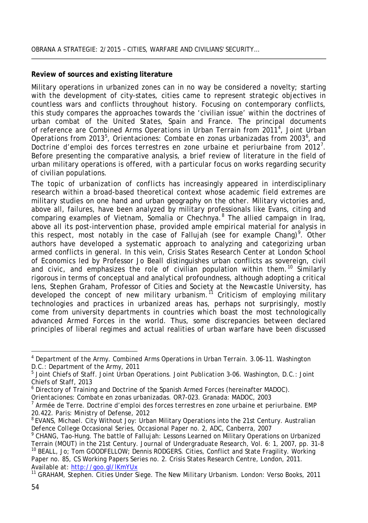#### **Review of sources and existing literature**

Military operations in urbanized zones can in no way be considered a novelty; starting with the development of city-states, cities came to represent strategic objectives in countless wars and conflicts throughout history. Focusing on contemporary conflicts, this study compares the approaches towards the 'civilian issue' within the doctrines of urban combat of the United States, Spain and France. The principal documents of reference are *Combined Arms Operations in Urban Terrain* from 2011[4](#page-3-0) , *Joint Urban*  Operations from 2013<sup>[5](#page-3-1)</sup>, Orientaciones: Combate en zonas urbanizadas from 2003<sup>[6](#page-3-2)</sup>, and Doctrine d'emploi des forces terrestres en zone urbaine et periurbaine from 2012<sup>[7](#page-3-3)</sup>. Before presenting the comparative analysis, a brief review of literature in the field of urban military operations is offered, with a particular focus on works regarding security of civilian populations.

The topic of *urbanization of conflicts* has increasingly appeared in interdisciplinary research within a broad-based theoretical context whose academic field extremes are military studies on one hand and urban geography on the other. Military victories and, above all, failures, have been analyzed by military professionals like Evans, citing and comparing examples of Vietnam, Somalia or Chechnya.<sup>[8](#page-3-4)</sup> The allied campaign in Iraq, above all its post-intervention phase, provided ample empirical material for analysis in this respect, most notably in the case of Fallujah (see for example Chang)<sup>[9](#page-3-5)</sup>. Other authors have developed a systematic approach to analyzing and categorizing urban armed conflicts in general. In this vein, Crisis States Research Center at London School of Economics led by Professor Jo Beall distinguishes urban conflicts as sovereign, civil and civic, and emphasizes the role of civilian population within them.<sup>[10](#page-3-6)</sup> Similarly rigorous in terms of conceptual and analytical profoundness, although adopting a critical lens, Stephen Graham, Professor of Cities and Society at the Newcastle University, has developed the concept of *new military urbanism.* [11](#page-3-7) Criticism of employing military technologies and practices in urbanized areas has, perhaps not surprisingly, mostly come from university departments in countries which boast the most technologically advanced Armed Forces in the world. Thus, some discrepancies between declared principles of liberal regimes and actual realities of urban warfare have been discussed

<span id="page-3-0"></span><sup>4</sup> Department of the Army. *Combined Arms Operations in Urban Terrain*. *3.06-11*. Washington D.C.: Department of the Army, 2011<br><sup>5</sup> Joint Chiefs of Staff. *Joint Urban Operations. Joint Publication 3-06*. Washington, D.C.: Joint

<span id="page-3-1"></span>Chiefs of Staff, 2013

<sup>6</sup> Directory of Training and Doctrine of the Spanish Armed Forces (hereinafter MADOC).

<span id="page-3-3"></span><span id="page-3-2"></span>*Orientaciones: Combate en zonas urbanizadas. OR7-023. Granada: MADOC, 2003<br><sup>7</sup> Armée de Terre. <i>Doctrine d'emploi des forces terrestres en zone urbaine et periurbaine. EMP<br>20.422. Paris: Ministry of Defense, 2012* 

<span id="page-3-4"></span><sup>&</sup>lt;sup>8</sup> EVANS, Michael. City Without Joy: Urban Military Operations into the 21st Century. *Australian*<br>*Defence College Occasional Series*, Occasional Paper no. 2, ADC, Canberra, 2007

<span id="page-3-6"></span><span id="page-3-5"></span><sup>&</sup>lt;sup>9</sup> CHANG, Tao-Hung. The battle of Fallujah: Lessons Learned on Military Operations on Urbanized<br>Terrain (MOUT) in the 21st Century. *Journal of Undergraduate Research*, Vol. 6: 1, 2007, pp. 31-8 <sup>10</sup> BEALL, Jo; Tom GOODFELLOW; Dennis RODGERS. Cities, Conflict and State Fragility. Working Paper no. 85, CS Working Papers Series no. 2. Crisis States Research Centre, London, 2011. Available at: <u>http://goo.gl/lKmYUx</u><br><sup>11</sup> GRAHAM, Stephen. *Cities Under Siege. The New Military Urbanism*. London: Verso Books, 2011

<span id="page-3-7"></span>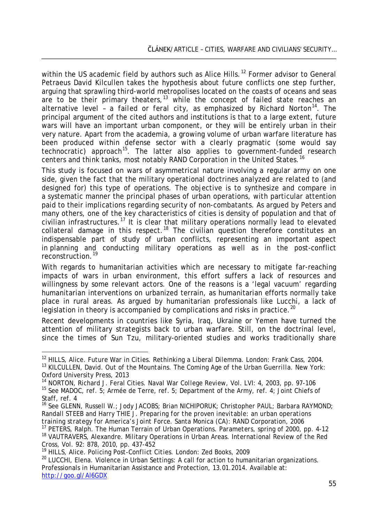within the US academic field by authors such as Alice Hills.<sup>[12](#page-4-0)</sup> Former advisor to General Petraeus David Kilcullen takes the hypothesis about future conflicts one step further, arguing that sprawling third-world metropolises located on the *coasts* of oceans and seas are to be their primary theaters,<sup>[13](#page-4-1)</sup> while the concept of failed state reaches an alternative level - a *failed* or *feral city*, as emphasized by Richard Norton<sup>[14](#page-4-2)</sup>. The principal argument of the cited authors and institutions is that to a large extent, future wars will have an important urban component, or they will be entirely urban in their very nature. Apart from the academia, a growing volume of urban warfare literature has been produced within defense sector with a clearly pragmatic (some would say technocratic) approach<sup>15</sup>. The latter also applies to government-funded research centers and think tanks, most notably RAND Corporation in the United States.<sup>[16](#page-4-4)</sup>

This study is focused on wars of asymmetrical nature involving a regular army on one side, given the fact that the military operational doctrines analyzed are related to (and designed for) this type of operations. The objective is to synthesize and compare in a systematic manner the principal phases of urban operations, with particular attention paid to their implications regarding security of non-combatants. As argued by Peters and many others, one of the key characteristics of cities is density of population and that of civilian infrastructures.<sup>[17](#page-4-5)</sup> It is clear that military operations normally lead to elevated collateral damage in this respect.<sup>[18](#page-4-6)</sup> The civilian question therefore constitutes an indispensable part of study of urban conflicts, representing an important aspect in planning and conducting military operations as well as in the post-conflict reconstruction. [19](#page-4-7)

With regards to humanitarian activities which are necessary to mitigate far-reaching impacts of wars in urban environment, this effort suffers a lack of resources and willingness by some relevant actors. One of the reasons is a 'legal vacuum' regarding humanitarian interventions on urbanized terrain, as humanitarian efforts normally take place in rural areas. As argued by humanitarian professionals like Lucchi, a lack of legislation in theory is accompanied by complications and risks in practice.<sup>[20](#page-4-8)</sup>

Recent developments in countries like Syria, Iraq, Ukraine or Yemen have turned the attention of military strategists back to urban warfare. Still, on the doctrinal level, since the times of Sun Tzu, military-oriented studies and works traditionally share

<span id="page-4-0"></span><sup>&</sup>lt;sup>12</sup> HILLS, Alice. *Future War in Cities. Rethinking a Liberal Dilemma*. London: Frank Cass, 2004.<br><sup>13</sup> KILCULLEN, David. *Out of the Mountains. The Coming Age of the Urban Guerrilla*. New York:

<span id="page-4-2"></span><span id="page-4-1"></span>Oxford University Press, 2013<br><sup>14</sup> NORTON, Richard J. Feral Cities. Naval War College Review, Vol. LVI: 4, 2003, pp. 97-106 <sup>15</sup> See MADOC, ref. 5; Armée de Terre, ref. 5; Department of the Army, ref. 4; Joint Chiefs of Staff, ref. 4<br><sup>16</sup> See GLENN, Russell W.; Jody JACOBS; Brian NICHIPORUK; Christopher PAUL; Barbara RAYMOND;

<span id="page-4-4"></span><span id="page-4-3"></span>Randall STEEB and Harry THIE J. *Preparing for the proven inevitable: an urban operations* 

<span id="page-4-6"></span><span id="page-4-5"></span><sup>&</sup>lt;sup>17</sup> PETERS, Ralph. The Human Terrain of Urban Operations. *Parameters*, spring of 2000, pp. 4-12<br><sup>18</sup> VAUTRAVERS, Alexandre. Military Operations in Urban Areas. *International Review of the Red*<br>*Cross*, Vol. 92: 878, 201

<span id="page-4-8"></span><span id="page-4-7"></span><sup>&</sup>lt;sup>19</sup> HILLS, Alice. *Policing Post-Conflict Cities*. London: Zed Books, 2009<br><sup>20</sup> LUCCHI, Elena. Violence in Urban Settings: A call for action to humanitarian organizations. Professionals in Humanitarian Assistance and Protection, 13.01.2014. Available at: <http://goo.gl/Al6GDX>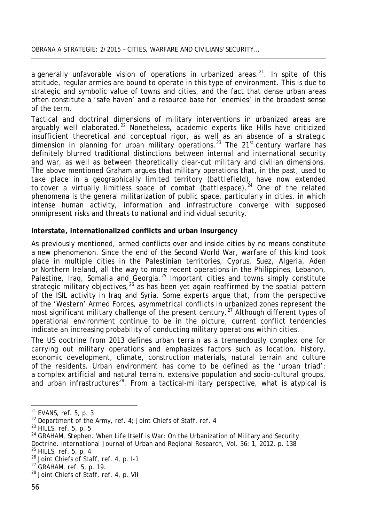a generally unfavorable vision of operations in urbanized areas.<sup>[21](#page-5-0)</sup>. In spite of this attitude, regular armies are bound to operate in this type of environment. This is due to strategic and symbolic value of towns and cities, and the fact that dense urban areas often constitute a 'safe haven' and a resource base for 'enemies' in the broadest sense of the term.

Tactical and doctrinal dimensions of military interventions in urbanized areas are arguably well elaborated.<sup>[22](#page-5-1)</sup> Nonetheless, academic experts like Hills have criticized insufficient theoretical and conceptual rigor, as well as an absence of a strategic dimension in planning for urban military operations.<sup>[23](#page-5-2)</sup> The 21<sup>st</sup> century warfare has definitely blurred traditional distinctions between internal and international security and war, as well as between theoretically clear-cut military and civilian dimensions. The above mentioned Graham argues that military operations that, in the past, used to take place in a geographically limited territory *(battlefield)*, have now extended to cover a virtually limitless space of combat *(battlespace).* [24](#page-5-3) One of the related phenomena is the general militarization of public space, particularly in cities, in which intense human activity, information and infrastructure converge with supposed omnipresent risks and threats to national and individual security.

#### **Interstate, internationalized conflicts and urban insurgency**

As previously mentioned, armed conflicts over and inside cities by no means constitute a new phenomenon. Since the end of the Second World War, warfare of this kind took place in multiple cities in the Palestinian territories, Cyprus, Suez, Algeria, Aden or Northern Ireland, all the way to more recent operations in the Philippines, Lebanon, Palestine, Iraq, Somalia and Georgia.<sup>[25](#page-5-4)</sup> Important cities and towns simply constitute strategic military objectives,<sup>[26](#page-5-5)</sup> as has been yet again reaffirmed by the spatial pattern of the ISIL activity in Iraq and Syria. Some experts argue that, from the perspective of the 'Western' Armed Forces, asymmetrical conflicts in urbanized zones represent the most significant military challenge of the present century.<sup>[27](#page-5-6)</sup> Although different types of operational environment continue to be in the picture, current conflict tendencies indicate an increasing probability of conducting military operations within cities.

The US doctrine from 2013 defines urban terrain as a tremendously complex one for carrying out military operations and emphasizes factors such as location, history, economic development, climate, construction materials, natural terrain and culture of the residents. Urban environment has come to be defined as the 'urban triad': a complex artificial and natural terrain, extensive population and socio-cultural groups, and urban infrastructures<sup>[28](#page-5-7)</sup>. From a tactical-military perspective, what is atypical is

<span id="page-5-1"></span>

<span id="page-5-3"></span><span id="page-5-2"></span>

<span id="page-5-0"></span><sup>&</sup>lt;sup>21</sup> EVANS, ref. 5, p. 3<br><sup>22</sup> Department of the Army, ref. 4; Joint Chiefs of Staff, ref. 4<br><sup>23</sup> HILLS, ref. 5, p. 5<br><sup>24</sup> GRAHAM, Stephen. When Life Itself is War: On the Urbanization of Military and Security Doctrine. *International Journal of Urban and Regional Research*, Vol. 36: 1, 2012, p. 138<br><sup>25</sup> HILLS, ref. 5, p. 4<br><sup>26</sup> Joint Chiefs of Staff, ref. 4, p. I-1<br><sup>27</sup> GRAHAM, ref. 5, p. 19.<br><sup>28</sup> Joint Chiefs of Staff, ref. 4,

<span id="page-5-5"></span><span id="page-5-4"></span>

<span id="page-5-6"></span>

<span id="page-5-7"></span>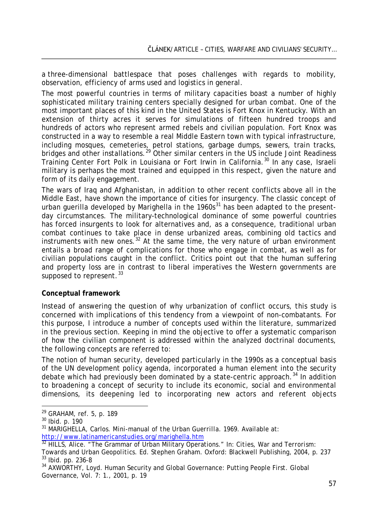a three-dimensional battlespace that poses challenges with regards to mobility, observation, efficiency of arms used and logistics in general.

The most powerful countries in terms of military capacities boast a number of highly sophisticated military training centers specially designed for urban combat. One of the most important places of this kind in the United States is Fort Knox in Kentucky. With an extension of thirty acres it serves for simulations of fifteen hundred troops and hundreds of actors who represent armed rebels and civilian population. Fort Knox was constructed in a way to resemble a real Middle Eastern town with typical infrastructure, including mosques, cemeteries, petrol stations, garbage dumps, sewers, train tracks, bridges and other installations.<sup>[29](#page-6-0)</sup> Other similar centers in the US include Joint Readiness Training Center Fort Polk in Louisiana or Fort Irwin in California.<sup>[30](#page-6-1)</sup> In any case, Israeli military is perhaps the most trained and equipped in this respect, given the nature and form of its daily engagement.

The wars of Iraq and Afghanistan, in addition to other recent conflicts above all in the Middle East, have shown the importance of cities for insurgency. The classic concept of urban guerilla developed by Marighella in the  $1960s<sup>31</sup>$  $1960s<sup>31</sup>$  $1960s<sup>31</sup>$  has been adapted to the presentday circumstances. The military-technological dominance of some powerful countries has forced insurgents to look for alternatives and, as a consequence, traditional urban combat continues to take place in dense urbanized areas, combining old tactics and instruments with new ones.<sup>[32](#page-6-3)</sup> At the same time, the very nature of urban environment entails a broad range of complications for those who engage in combat, as well as for civilian populations caught in the conflict. Critics point out that the human suffering and property loss are in contrast to liberal imperatives the Western governments are supposed to represent.<sup>[33](#page-6-4)</sup>

#### **Conceptual framework**

Instead of answering the question of why urbanization of conflict occurs, this study is concerned with implications of this tendency from a viewpoint of non-combatants. For this purpose, I introduce a number of concepts used within the literature, summarized in the previous section. Keeping in mind the objective to offer a systematic comparison of how the civilian component is addressed within the analyzed doctrinal documents, the following concepts are referred to:

The notion of *human security*, developed particularly in the 1990s as a conceptual basis of the UN development policy agenda, incorporated a human element into the security debate which had previously been dominated by a state-centric approach.<sup>[34](#page-6-5)</sup> In addition to broadening a concept of security to include its economic, social and environmental dimensions, its deepening led to incorporating new actors and referent objects

<span id="page-6-1"></span>

<span id="page-6-0"></span><sup>&</sup>lt;sup>29</sup> GRAHAM, ref. 5, p. 189<br><sup>30</sup> Ibid. p. 190<br><sup>31</sup> MARIGHELLA, Carlos. *Mini-manual of the Urban Guerrilla*. 1969. Available at:

<span id="page-6-3"></span><span id="page-6-2"></span><http://www.latinamericanstudies.org/marighella.htm><br><sup>32</sup> HILLS, Alice. "The Grammar of Urban Military Operations." In: *Cities, War and Terrorism:*<br>Towards and Urban Geopolitics. Ed. Stephen Graham. Oxford: Blackwell Publis <sup>33</sup> Ibid. pp. 236-8<br><sup>34</sup> AXWORTHY, Loyd. Human Security and Global Governance: Putting People First. *Global* 

<span id="page-6-5"></span><span id="page-6-4"></span>*Governance*, Vol*.* 7: 1., 2001, p. 19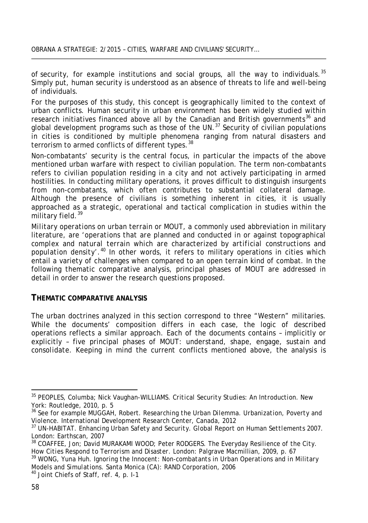of security, for example institutions and social groups, all the way to individuals.<sup>[35](#page-7-0)</sup> Simply put, human security is understood as an absence of threats to life and well-being of individuals.

For the purposes of this study, this concept is geographically limited to the context of urban conflicts. Human security in urban environment has been widely studied within research initiatives financed above all by the Canadian and British governments<sup>[36](#page-7-1)</sup> and global development programs such as those of the UN.<sup>[37](#page-7-2)</sup> Security of civilian populations in cities is conditioned by multiple phenomena ranging from natural disasters and terrorism to armed conflicts of different types.<sup>[38](#page-7-3)</sup>

Non-combatants' security is the central focus, in particular the impacts of the above mentioned urban warfare with respect to civilian population. The term *non-combatants* refers to civilian population residing in a city and not actively participating in armed hostilities. In conducting military operations, it proves difficult to distinguish insurgents from non-combatants, which often contributes to substantial collateral damage. Although the presence of civilians is something inherent in cities, it is usually approached as a strategic, operational and tactical complication in studies within the military field.<sup>[39](#page-7-4)</sup>

*Military operations on urban terrain* or MOUT, a commonly used abbreviation in military literature, are *'operations that are planned and conducted in or against topographical complex and natural terrain which are characterized by artificial constructions and population density'*. [40](#page-7-5) In other words, it refers to military operations in cities which entail a variety of challenges when compared to an open terrain kind of combat. In the following thematic comparative analysis, principal phases of MOUT are addressed in detail in order to answer the research questions proposed.

#### **THEMATIC COMPARATIVE ANALYSIS**

The urban doctrines analyzed in this section correspond to three "Western" militaries. While the documents' composition differs in each case, the logic of described operations reflects a similar approach. Each of the documents contains – implicitly or explicitly – five principal phases of MOUT: *understand*, *shape*, *engage*, *sustain* and *consolidate*. Keeping in mind the current conflicts mentioned above, the analysis is

<span id="page-7-0"></span><sup>35</sup> PEOPLES, Columba; Nick Vaughan-WILLIAMS. *Critical Security Studies: An Introduction*. New York: Routledge, 2010, p. 5

<span id="page-7-1"></span><sup>36</sup> See for example MUGGAH, Robert. *Researching the Urban Dilemma. Urbanization, Poverty and* 

<span id="page-7-2"></span><sup>&</sup>lt;sup>37</sup> UN-HABITAT. *Enhancing Urban Safety and Security. Global Report on Human Settlements 2007.* London: Earthscan, 2007

<span id="page-7-3"></span><sup>38</sup> COAFFEE, Jon; David MURAKAMI WOOD; Peter RODGERS. *The Everyday Resilience of the City. How Cities Respond to Terrorism and Disaster*. London: Palgrave Macmillian, 2009, p. 67<br><sup>39</sup> WONG, Yuna Huh. *Ignoring the Innocent: Non-combatants in Urban Operations and in Military* 

<span id="page-7-4"></span>*Models and Simulations*. Santa Monica (CA): RAND Corporation, 2006<br><sup>40</sup> Joint Chiefs of Staff, ref. 4, p. I-1

<span id="page-7-5"></span>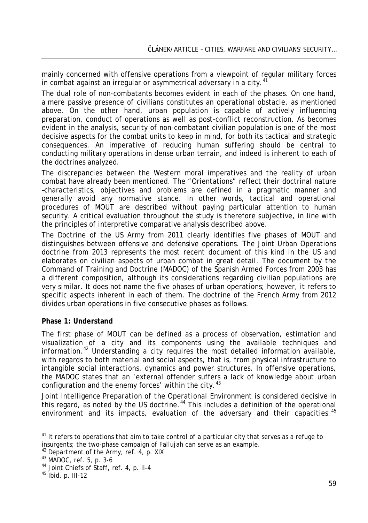mainly concerned with offensive operations from a viewpoint of regular military forces in combat against an irregular or asymmetrical adversary in a city.  $41$ 

The dual role of non-combatants becomes evident in each of the phases. On one hand, a mere passive presence of civilians constitutes an operational obstacle, as mentioned above. On the other hand, urban population is capable of actively influencing preparation, conduct of operations as well as post-conflict reconstruction. As becomes evident in the analysis, security of non-combatant civilian population is one of the most decisive aspects for the combat units to keep in mind, for both its tactical and strategic consequences. An imperative of reducing human suffering should be central to conducting military operations in dense urban terrain, and indeed is inherent to each of the doctrines analyzed.

The discrepancies between the Western moral imperatives and the reality of urban combat have already been mentioned. The "Orientations" reflect their doctrinal nature –characteristics, objectives and problems are defined in a pragmatic manner and generally avoid any normative stance. In other words, tactical and operational procedures of MOUT are described without paying particular attention to human security. A critical evaluation throughout the study is therefore subjective, in line with the principles of interpretive comparative analysis described above.

The Doctrine of the US Army from 2011 clearly identifies five phases of MOUT and distinguishes between offensive and defensive operations. The Joint Urban Operations doctrine from 2013 represents the most recent document of this kind in the US and elaborates on civilian aspects of urban combat in great detail. The document by the Command of Training and Doctrine (MADOC) of the Spanish Armed Forces from 2003 has a different composition, although its considerations regarding civilian populations are very similar. It does not name the five phases of urban operations; however, it refers to specific aspects inherent in each of them. The doctrine of the French Army from 2012 divides urban operations in five consecutive phases as follows.

#### **Phase 1: Understand**

The first phase of MOUT can be defined as a process of observation, estimation and visualization of a city and its components using the available techniques and information.<sup>[42](#page-8-1)</sup> Understanding a city requires the most detailed information available, with regards to both material and social aspects, that is, from physical infrastructure to intangible social interactions, dynamics and power structures. In offensive operations, the MADOC states that an 'external offender suffers a lack of knowledge about urban configuration and the enemy forces' within the city.<sup>[43](#page-8-2)</sup>

*Joint Intelligence Preparation of the Operational Environment* is considered decisive in this regard, as noted by the US doctrine.<sup>[44](#page-8-3)</sup> This includes a definition of the operational environment and its impacts, evaluation of the adversary and their capacities.<sup>[45](#page-8-4)</sup>

<span id="page-8-0"></span><sup>&</sup>lt;sup>41</sup> It refers to operations that aim to take control of a particular city that serves as a refuge to insurgents; the two-phase campaign of Fallujah can serve as an example.<br>  $^{42}$  Department of the Army, ref. 4, p. XIX<br>  $^{43}$  MADOC, ref. 5, p. 3-6<br>  $^{44}$  Joint Chiefs of Staff, ref. 4, p. II-4<br>  $^{45}$  Ibid. p. III-12

<span id="page-8-1"></span>

<span id="page-8-2"></span>

<span id="page-8-3"></span>

<span id="page-8-4"></span>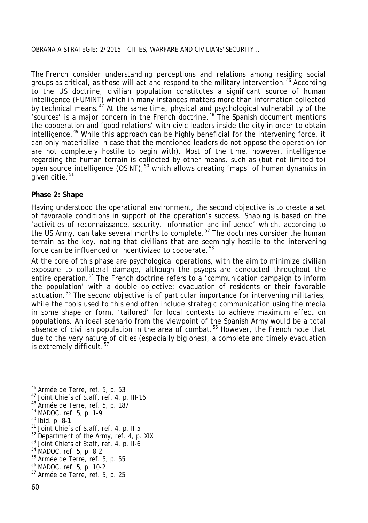The French consider understanding perceptions and relations among residing social groups as critical, as those will act and respond to the military intervention.<sup>[46](#page-9-0)</sup> According to the US doctrine, civilian population constitutes a significant source of human intelligence (HUMINT) which in many instances matters more than information collected by technical means.<sup>[47](#page-9-1)</sup> At the same time, physical and psychological vulnerability of the 'sources' is a major concern in the French doctrine. [48](#page-9-2) The Spanish document mentions the cooperation and 'good relations' with civic leaders inside the city in order to obtain intelligence.<sup>[49](#page-9-3)</sup> While this approach can be highly beneficial for the intervening force, it can only materialize in case that the mentioned leaders do not oppose the operation (or are not completely hostile to begin with). Most of the time, however, intelligence regarding the human terrain is collected by other means, such as (but not limited to) open source intelligence (OSINT), <sup>[50](#page-9-4)</sup> which allows creating 'maps' of human dynamics in given citie.<sup>[51](#page-9-5)</sup>

#### **Phase 2: Shape**

Having understood the operational environment, the second objective is to create a set of favorable conditions in support of the operation's success. *Shaping* is based on the 'activities of reconnaissance, security, information and influence' which, according to the US Army, can take several months to complete.<sup>[52](#page-9-6)</sup> The doctrines consider the human terrain as the key, noting that civilians that are seemingly hostile to the intervening force can be influenced or incentivized to cooperate.<sup>[53](#page-9-7)</sup>

At the core of this phase are psychological operations, with the aim to minimize civilian exposure to collateral damage, although the *psyops* are conducted throughout the entire operation.<sup>[54](#page-9-8)</sup> The French doctrine refers to a 'communication campaign to inform the population' with a double objective: evacuation of residents or their favorable actuation.<sup>[55](#page-9-9)</sup> The second objective is of particular importance for intervening militaries, while the tools used to this end often include strategic communication using the media in some shape or form, 'tailored' for local contexts to achieve maximum effect on populations. An ideal scenario from the viewpoint of the Spanish Army would be a total absence of civilian population in the area of combat.<sup>[56](#page-9-10)</sup> However, the French note that due to the very nature of cities (especially big ones), a complete and timely evacuation is extremely difficult.<sup>[57](#page-9-11)</sup>

- <span id="page-9-5"></span>
- <sup>46</sup> Armée de Terre, ref. 5, p. 53<br>
<sup>47</sup> Joint Chiefs of Staff, ref. 4, p. III-16<br>
<sup>48</sup> Armée de Terre, ref. 5, p. 187<br>
<sup>49</sup> MADOC, ref. 5, p. 1-9<br>
<sup>50</sup> Ibid. p. 8-1<br>
<sup>51</sup> Joint Chiefs of Staff, ref. 4, p. II-5<br>
<sup>52</sup> Depa
- <span id="page-9-7"></span><span id="page-9-6"></span>
- <span id="page-9-8"></span>
- <span id="page-9-9"></span>
- <span id="page-9-10"></span>
- <span id="page-9-11"></span>

<span id="page-9-0"></span>

<span id="page-9-1"></span>

<span id="page-9-2"></span>

<span id="page-9-3"></span>

<span id="page-9-4"></span>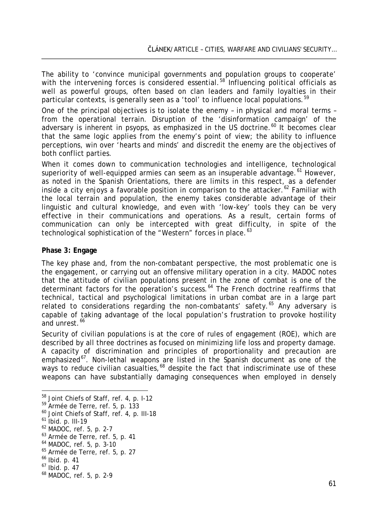The ability to 'convince municipal governments and population groups to cooperate' with the intervening forces is considered essential.<sup>[58](#page-10-0)</sup> Influencing political officials as well as powerful groups, often based on clan leaders and family loyalties in their particular contexts, is generally seen as a 'tool' to influence local populations.<sup>[59](#page-10-1)</sup>

One of the principal objectives is to isolate the enemy – in physical and moral terms – from the operational terrain. Disruption of the 'disinformation campaign' of the adversary is inherent in *psyops*, as emphasized in the US doctrine. [60](#page-10-2) It becomes clear that the same logic applies from the enemy's point of view; the ability to influence perceptions, win over 'hearts and minds' and discredit the enemy are the objectives of both conflict parties.

When it comes down to communication technologies and intelligence, technological superiority of well-equipped armies can seem as an insuperable advantage.<sup>[61](#page-10-3)</sup> However, as noted in the Spanish Orientations, there are limits in this respect, as a defender inside a city enjoys a favorable position in comparison to the attacker.<sup>[62](#page-10-4)</sup> Familiar with the local terrain and population, the enemy takes considerable advantage of their linguistic and cultural knowledge, and even with 'low-key' tools they can be very effective in their communications and operations. As a result, certain forms of communication can only be intercepted with great difficulty, in spite of the technological sophistication of the "Western" forces in place. <sup>[63](#page-10-5)</sup>

#### **Phase 3: Engage**

The key phase and, from the non-combatant perspective, the most problematic one is the *engagement*, or carrying out an offensive military operation in a city. MADOC notes that the attitude of civilian populations present in the zone of combat is one of the determinant factors for the operation's success. [64](#page-10-6) The French doctrine reaffirms that technical, tactical and psychological limitations in urban combat are in a large part related to considerations regarding the non-combatants' safety.<sup>[65](#page-10-7)</sup> Any adversary is capable of taking advantage of the local population's frustration to provoke hostility and unrest. [66](#page-10-8)

Security of civilian populations is at the core of rules of engagement (ROE), which are described by all three doctrines as focused on minimizing life loss and property damage. A capacity of discrimination and principles of proportionality and precaution are emphasized<sup>67</sup>. Non-lethal weapons are listed in the Spanish document as one of the ways to reduce civilian casualties,<sup>[68](#page-10-10)</sup> despite the fact that indiscriminate use of these weapons can have substantially damaging consequences when employed in densely

<span id="page-10-0"></span><sup>&</sup>lt;sup>58</sup> Joint Chiefs of Staff, ref. 4, p. 1-12<br><sup>59</sup> Armée de Terre, ref. 5, p. 133<br><sup>60</sup> Joint Chiefs of Staff, ref. 4, p. 111-18<br><sup>61</sup> Ibid. p. 111-19<br><sup>62</sup> MADOC, ref. 5, p. 2-7<br><sup>63</sup> Armée de Terre, ref. 5, p. 41<br><sup>64</sup> MADOC, r

<span id="page-10-1"></span>

<span id="page-10-2"></span>

<span id="page-10-3"></span>

<span id="page-10-4"></span>

<span id="page-10-5"></span>

<span id="page-10-6"></span>

<span id="page-10-7"></span>

<span id="page-10-8"></span>

<span id="page-10-9"></span>

<span id="page-10-10"></span>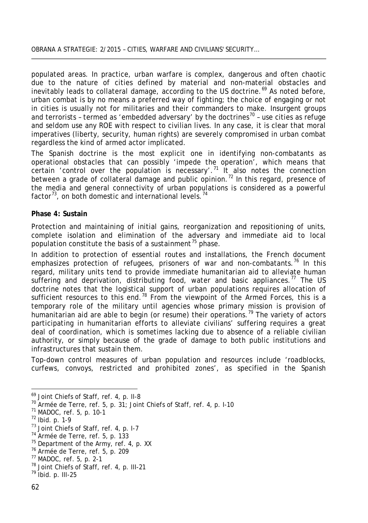#### OBRANA A STRATEGIE: 2/2015 – CITIES, WARFARE AND CIVILIANS' SECURITY…

populated areas. In practice, urban warfare is complex, dangerous and often chaotic due to the nature of cities defined by material and non-material obstacles and inevitably leads to collateral damage, according to the US doctrine.<sup>[69](#page-11-0)</sup> As noted before, urban combat is by no means a preferred way of fighting; the choice of engaging or not in cities is usually not for militaries and their commanders to make. Insurgent groups and terrorists - termed as 'embedded adversary' by the doctrines<sup>[70](#page-11-1)</sup> - use cities as refuge and seldom use any ROE with respect to civilian lives. In any case, it is clear that moral imperatives (liberty, security, human rights) are severely compromised in urban combat regardless the kind of armed actor implicated.

The Spanish doctrine is the most explicit one in identifying non-combatants as operational obstacles that can possibly 'impede the operation', which means that certain 'control over the population is necessary'.<sup>[71](#page-11-2)</sup> It also notes the connection between a grade of collateral damage and public opinion.<sup>[72](#page-11-3)</sup> In this regard, presence of the media and general connectivity of urban populations is considered as a powerful factor<sup>73</sup>, on both domestic and international levels.<sup>[74](#page-11-5)</sup>

#### **Phase 4: Sustain**

Protection and maintaining of initial gains, reorganization and repositioning of units, complete isolation and elimination of the adversary and immediate aid to local population constitute the basis of a *sustainment*[75](#page-11-6) phase.

In addition to protection of essential routes and installations, the French document emphasizes protection of refugees, prisoners of war and non-combatants.<sup>[76](#page-11-7)</sup> In this regard, military units tend to provide immediate humanitarian aid to alleviate human suffering and deprivation, distributing food, water and basic appliances.<sup>[77](#page-11-8)</sup> The US doctrine notes that the logistical support of urban populations requires allocation of sufficient resources to this end.<sup>[78](#page-11-9)</sup> From the viewpoint of the Armed Forces, this is a temporary role of the military until agencies whose primary mission is provision of humanitarian aid are able to begin (or resume) their operations.<sup>[79](#page-11-10)</sup> The variety of actors participating in humanitarian efforts to alleviate civilians' suffering requires a great deal of coordination, which is sometimes lacking due to absence of a reliable civilian authority, or simply because of the grade of damage to both public institutions and infrastructures that sustain them.

Top-down control measures of urban population and resources include 'roadblocks, curfews, convoys, restricted and prohibited zones', as specified in the Spanish

<span id="page-11-1"></span><span id="page-11-0"></span>

<sup>&</sup>lt;sup>69</sup> Joint Chiefs of Staff, ref. 4, p. II-8<br><sup>70</sup> Armée de Terre, ref. 5, p. 31; Joint Chiefs of Staff, ref. 4, p. I-10<br><sup>71</sup> MADOC, ref. 5, p. 10-1<br><sup>72</sup> Ibid. p. 1-9<br><sup>73</sup> Joint Chiefs of Staff, ref. 4, p. I-7<br><sup>74</sup> Armée de

<span id="page-11-2"></span>

<span id="page-11-3"></span>

<span id="page-11-4"></span>

<span id="page-11-5"></span>

<span id="page-11-6"></span>

<span id="page-11-7"></span>

<span id="page-11-8"></span>

<span id="page-11-9"></span>

<span id="page-11-10"></span>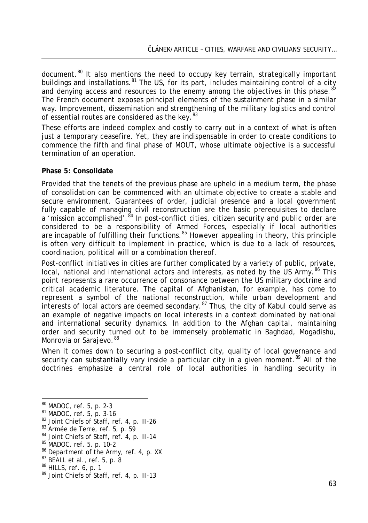document.<sup>[80](#page-12-0)</sup> It also mentions the need to occupy key terrain, strategically important buildings and installations.<sup>[81](#page-12-1)</sup> The US, for its part, includes maintaining control of a city and denying access and resources to the enemy among the objectives in this phase. <sup>[82](#page-12-2)</sup> The French document exposes principal elements of the sustainment phase in a similar way. Improvement, dissemination and strengthening of the military logistics and control of essential routes are considered as the key.<sup>[83](#page-12-3)</sup>

These efforts are indeed complex and costly to carry out in a context of what is often just a temporary ceasefire. Yet, they are indispensable in order to create conditions to commence the fifth and final phase of MOUT, whose ultimate objective is a successful termination of an operation.

#### **Phase 5: Consolidate**

Provided that the tenets of the previous phase are upheld in a medium term, the phase of consolidation can be commenced with an ultimate objective to create a stable and secure environment. Guarantees of order, judicial presence and a local government fully capable of managing civil reconstruction are the basic prerequisites to declare a 'mission accomplished'.<sup>[84](#page-12-4)</sup> In post-conflict cities, citizen security and public order are considered to be a responsibility of Armed Forces, especially if local authorities are incapable of fulfilling their functions.<sup>[85](#page-12-5)</sup> However appealing in theory, this principle is often very difficult to implement in practice, which is due to a lack of resources, coordination, political will or a combination thereof.

Post-conflict initiatives in cities are further complicated by a variety of public, private, local, national and international actors and interests, as noted by the US Army.<sup>[86](#page-12-6)</sup> This point represents a rare occurrence of consonance between the US military doctrine and critical academic literature. The capital of Afghanistan, for example, has come to represent a symbol of the national reconstruction, while urban development and interests of local actors are deemed secondary.<sup>[87](#page-12-7)</sup> Thus, the city of Kabul could serve as an example of negative impacts on local interests in a context dominated by national and international security dynamics. In addition to the Afghan capital, maintaining order and security turned out to be immensely problematic in Baghdad, Mogadishu, Monrovia or Sarajevo. [88](#page-12-8)

When it comes down to securing a post-conflict city, quality of local governance and security can substantially vary inside a particular city in a given moment.<sup>[89](#page-12-9)</sup> All of the doctrines emphasize a central role of local authorities in handling security in

<span id="page-12-2"></span>

<span id="page-12-3"></span>

<span id="page-12-4"></span>

<span id="page-12-5"></span>

<span id="page-12-1"></span><span id="page-12-0"></span><sup>&</sup>lt;sup>80</sup> MADOC, ref. 5, p. 2-3<br><sup>81</sup> MADOC, ref. 5, p. 3-16<br><sup>82</sup> Joint Chiefs of Staff, ref. 4, p. III-26<br><sup>83</sup> Armée de Terre, ref. 5, p. 59<br><sup>84</sup> Joint Chiefs of Staff, ref. 4, p. III-14<br><sup>85</sup> MADOC, ref. 5, p. 10-2<br><sup>86</sup> Depart

<span id="page-12-7"></span><span id="page-12-6"></span>

<span id="page-12-8"></span>

<span id="page-12-9"></span>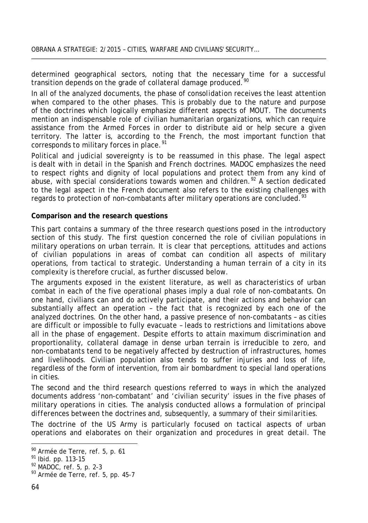determined geographical sectors, noting that the necessary time for a successful transition depends on the grade of collateral damage produced. [90](#page-13-0)

In all of the analyzed documents, the phase of *consolidation* receives the least attention when compared to the other phases. This is probably due to the nature and purpose of the doctrines which logically emphasize different aspects of MOUT. The documents mention an indispensable role of civilian humanitarian organizations, which can require assistance from the Armed Forces in order to distribute aid or help secure a given territory. The latter is, according to the French, the most important function that corresponds to military forces in place.<sup>[91](#page-13-1)</sup>

Political and judicial sovereignty is to be reassumed in this phase. The legal aspect is dealt with in detail in the Spanish and French doctrines. MADOC emphasizes the need to respect rights and dignity of local populations and protect them from any kind of abuse, with special considerations towards women and children.<sup>[92](#page-13-2)</sup> A section dedicated to the legal aspect in the French document also refers to the existing challenges with regards to protection of non-combatants after military operations are concluded.<sup>[93](#page-13-3)</sup>

#### **Comparison and the research questions**

This part contains a summary of the three research questions posed in the introductory section of this study. The first question concerned the role of civilian populations in military operations on urban terrain. It is clear that perceptions, attitudes and actions of civilian populations in areas of combat can condition all aspects of military operations, from tactical to strategic. Understanding a *human terrain* of a city in its complexity is therefore crucial, as further discussed below.

The arguments exposed in the existent literature, as well as characteristics of urban combat in each of the five operational phases imply a dual role of non-combatants. On one hand, civilians can and do *actively* participate, and their actions and behavior can substantially affect an operation – the fact that is recognized by each one of the analyzed doctrines. On the other hand, a *passive* presence of non-combatants – as cities are difficult or impossible to fully evacuate – leads to restrictions and limitations above all in the phase of engagement. Despite efforts to attain maximum discrimination and proportionality, collateral damage in dense urban terrain is irreducible to zero, and non-combatants tend to be negatively affected by destruction of infrastructures, homes and livelihoods. Civilian population also tends to suffer injuries and loss of life, regardless of the form of intervention, from air bombardment to special land operations in cities.

The second and the third research questions referred to ways in which the analyzed documents address 'non-combatant' and 'civilian security' issues in the five phases of military operations in cities. The analysis conducted allows a formulation of principal *differences* between the doctrines and, subsequently, a summary of their *similarities*.

The doctrine of the US Army is particularly focused on tactical aspects of urban operations and elaborates on their organization and procedures in great detail. The

<span id="page-13-0"></span><sup>90</sup> Armée de Terre, ref. 5, p. 61<br>
91 Ibid. pp. 113-15<br>
92 MADOC, ref. 5, p. 2-3<br>
93 Armée de Terre, ref. 5, pp. 45-7

<span id="page-13-1"></span>

<span id="page-13-2"></span>

<span id="page-13-3"></span>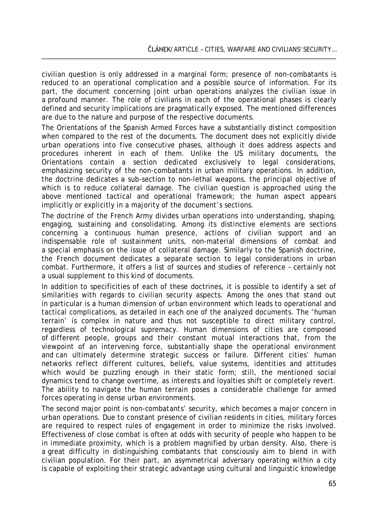civilian question is only addressed in a marginal form; presence of non-combatants is reduced to an operational complication and a possible source of information. For its part, the document concerning joint urban operations analyzes the civilian issue in a profound manner. The role of civilians in each of the operational phases is clearly defined and security implications are pragmatically exposed. The mentioned differences are due to the nature and purpose of the respective documents.

The Orientations of the Spanish Armed Forces have a substantially distinct composition when compared to the rest of the documents. The document does not explicitly divide urban operations into five consecutive phases, although it does address aspects and procedures inherent in each of them. Unlike the US military documents, the Orientations contain a section dedicated exclusively to legal considerations, emphasizing security of the non-combatants in urban military operations. In addition, the doctrine dedicates a sub-section to non-lethal weapons, the principal objective of which is to reduce collateral damage. The civilian question is approached using the above mentioned tactical and operational framework; the human aspect appears implicitly or explicitly in a majority of the document's sections.

The doctrine of the French Army divides urban operations into understanding, shaping, engaging, sustaining and consolidating. Among its distinctive elements are sections concerning a continuous human presence, actions of civilian support and an indispensable role of sustainment units, non-material dimensions of combat and a special emphasis on the issue of collateral damage. Similarly to the Spanish doctrine, the French document dedicates a separate section to legal considerations in urban combat. Furthermore, it offers a list of sources and studies of reference – certainly not a usual supplement to this kind of documents.

In addition to specificities of each of these doctrines, it is possible to identify a set of similarities with regards to civilian security aspects. Among the ones that stand out in particular is a *human dimension of urban environment* which leads to operational and tactical complications, as detailed in each one of the analyzed documents. The 'human terrain' is complex in nature and thus not susceptible to direct military control, regardless of technological supremacy. Human dimensions of cities are composed of different people, groups and their constant mutual interactions that, from the viewpoint of an intervening force, substantially shape the operational environment and can ultimately determine strategic success or failure. Different cities' human networks reflect different cultures, beliefs, value systems, identities and attitudes which would be puzzling enough in their static form; still, the mentioned social dynamics tend to change overtime, as interests and loyalties shift or completely revert. The ability to navigate the human terrain poses a considerable challenge for armed forces operating in dense urban environments.

The second major point is *non-combatants' security*, which becomes a major concern in urban operations. Due to constant presence of civilian residents in cities, military forces are required to respect rules of engagement in order to minimize the risks involved. Effectiveness of close combat is often at odds with security of people who happen to be in immediate proximity, which is a problem magnified by urban density. Also, there is a great difficulty in distinguishing combatants that consciously aim to blend in with civilian population. For their part, an asymmetrical adversary operating within a city is capable of exploiting their strategic advantage using cultural and linguistic knowledge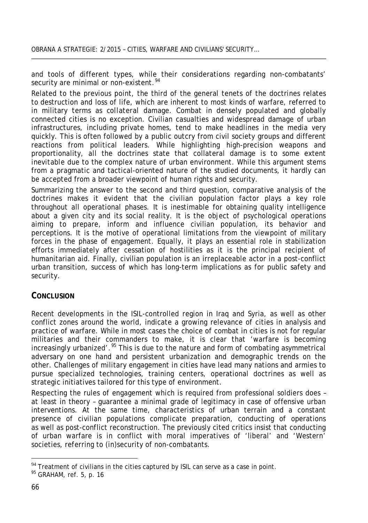and tools of different types, while their considerations regarding non-combatants' security are minimal or non-existent.<sup>[94](#page-15-0)</sup>

Related to the previous point, the third of the general tenets of the doctrines relates to destruction and loss of life, which are inherent to most kinds of warfare, referred to in military terms as *collateral damage*. Combat in densely populated and globally connected cities is no exception. Civilian casualties and widespread damage of urban infrastructures, including private homes, tend to make headlines in the media very quickly. This is often followed by a public outcry from civil society groups and different reactions from political leaders. While highlighting high-precision weapons and proportionality, all the doctrines state that collateral damage is to some extent *inevitable* due to the complex nature of urban environment. While this argument stems from a pragmatic and tactical-oriented nature of the studied documents, it hardly can be accepted from a broader viewpoint of human rights and security.

Summarizing the answer to the second and third question, comparative analysis of the doctrines makes it evident that the civilian population factor plays a key role throughout all operational phases. It is inestimable for obtaining quality intelligence about a given city and its social reality. It is the object of psychological operations aiming to prepare, inform and influence civilian population, its behavior and perceptions. It is the motive of operational limitations from the viewpoint of military forces in the phase of engagement. Equally, it plays an essential role in stabilization efforts immediately after cessation of hostilities as it is the principal recipient of humanitarian aid. Finally, civilian population is an irreplaceable actor in a post-conflict urban transition, success of which has long-term implications as for public safety and security.

#### **CONCLUSION**

Recent developments in the ISIL-controlled region in Iraq and Syria, as well as other conflict zones around the world, indicate a growing relevance of cities in analysis and practice of warfare. While in most cases the choice of combat in cities is not for regular militaries and their commanders to make, it is clear that 'warfare is becoming increasingly urbanized'.<sup>[95](#page-15-1)</sup> This is due to the nature and form of combating asymmetrical adversary on one hand and persistent urbanization and demographic trends on the other. Challenges of military engagement in cities have lead many nations and armies to pursue specialized technologies, training centers, operational doctrines as well as strategic initiatives tailored for this type of environment.

Respecting the rules of engagement which is required from professional soldiers does – at least in theory – guarantee a minimal grade of legitimacy in case of offensive urban interventions. At the same time, characteristics of urban terrain and a constant presence of civilian populations complicate preparation, conducting of operations as well as post-conflict reconstruction. The previously cited critics insist that conducting of urban warfare is in conflict with moral imperatives of 'liberal' and 'Western' societies, referring to (in)security of non-combatants.

<span id="page-15-0"></span><sup>&</sup>lt;sup>94</sup> Treatment of civilians in the cities captured by ISIL can serve as a case in point.<br><sup>95</sup> GRAHAM, ref. 5, p. 16

<span id="page-15-1"></span>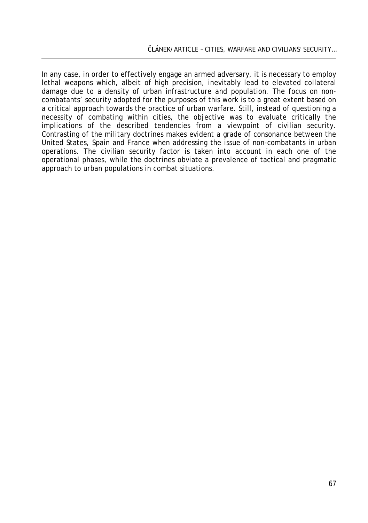In any case, in order to effectively engage an armed adversary, it is necessary to employ lethal weapons which, albeit of high precision, inevitably lead to elevated collateral damage due to a density of urban infrastructure and population. The focus on noncombatants' security adopted for the purposes of this work is to a great extent based on a critical approach towards the practice of urban warfare. Still, instead of questioning a necessity of combating within cities, the objective was to evaluate critically the implications of the described tendencies from a viewpoint of civilian security. Contrasting of the military doctrines makes evident a grade of consonance between the United States, Spain and France when addressing the issue of non-combatants in urban operations. The civilian security factor is taken into account in each one of the operational phases, while the doctrines obviate a prevalence of tactical and pragmatic approach to urban populations in combat situations.